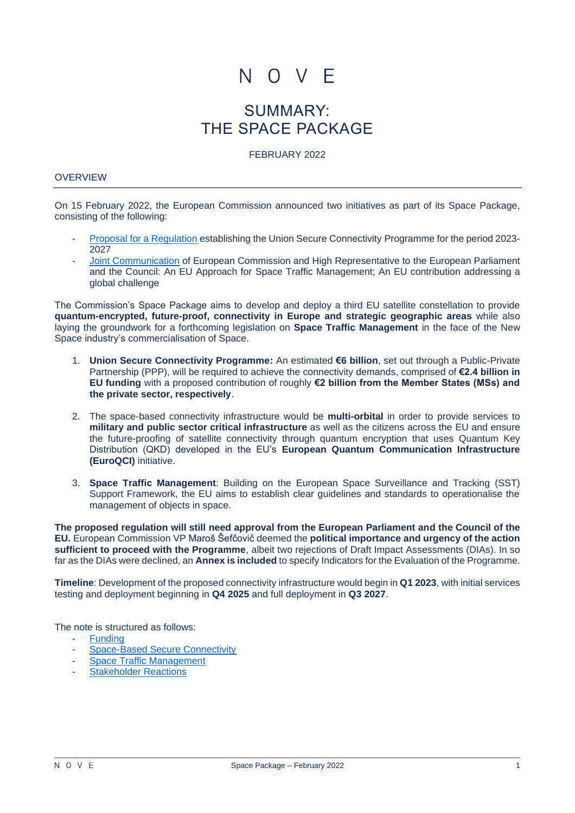

# SUMMARY: THE SPACE PACKAGE

FEBRUARY 2022

#### **OVERVIEW**

On 15 February 2022, the European Commission announced two initiatives as part of its Space Package, consisting of the following:

- [Proposal for a Regulation](https://ec.europa.eu/info/sites/default/files/proposal_regulation_union_secure_connectivity_programme.pdf) establishing the Union Secure Connectivity Programme for the period 2023- 2027
- [Joint Communication](https://ec.europa.eu/info/sites/default/files/join_2022_4_1_en_act_part1_v6.pdf) of European Commission and High Representative to the European Parliament and the Council: An EU Approach for Space Traffic Management; An EU contribution addressing a global challenge

The Commission's Space Package aims to develop and deploy a third EU satellite constellation to provide **quantum-encrypted, future-proof, connectivity in Europe and strategic geographic areas** while also laying the groundwork for a forthcoming legislation on **Space Traffic Management** in the face of the New Space industry's commercialisation of Space.

- 1. **Union Secure Connectivity Programme:** An estimated **€6 billion**, set out through a Public-Private Partnership (PPP), will be required to achieve the connectivity demands, comprised of **€2.4 billion in EU funding** with a proposed contribution of roughly **€2 billion from the Member States (MSs) and the private sector, respectively**.
- 2. The space-based connectivity infrastructure would be **multi-orbital** in order to provide services to **military and public sector critical infrastructure** as well as the citizens across the EU and ensure the future-proofing of satellite connectivity through quantum encryption that uses Quantum Key Distribution (QKD) developed in the EU's **European Quantum Communication Infrastructure (EuroQCI)** initiative.
- 3. **Space Traffic Management**: Building on the European Space Surveillance and Tracking (SST) Support Framework, the EU aims to establish clear guidelines and standards to operationalise the management of objects in space.

**The proposed regulation will still need approval from the European Parliament and the Council of the EU.** European Commission VP Maroš Šefčovič deemed the **political importance and urgency of the action sufficient to proceed with the Programme**, albeit two rejections of Draft Impact Assessments (DIAs). In so far as the DIAs were declined, an **Annex is included** to specify Indicators for the Evaluation of the Programme.

**Timeline**: Development of the proposed connectivity infrastructure would begin in **Q1 2023**, with initial services testing and deployment beginning in **Q4 2025** and full deployment in **Q3 2027**.

The note is structured as follows:

- **Funding**
- [Space-Based Secure Connectivity](#page-1-0)
- [Space Traffic Management](#page-5-0)
- **[Stakeholder Reactions](#page-7-0)**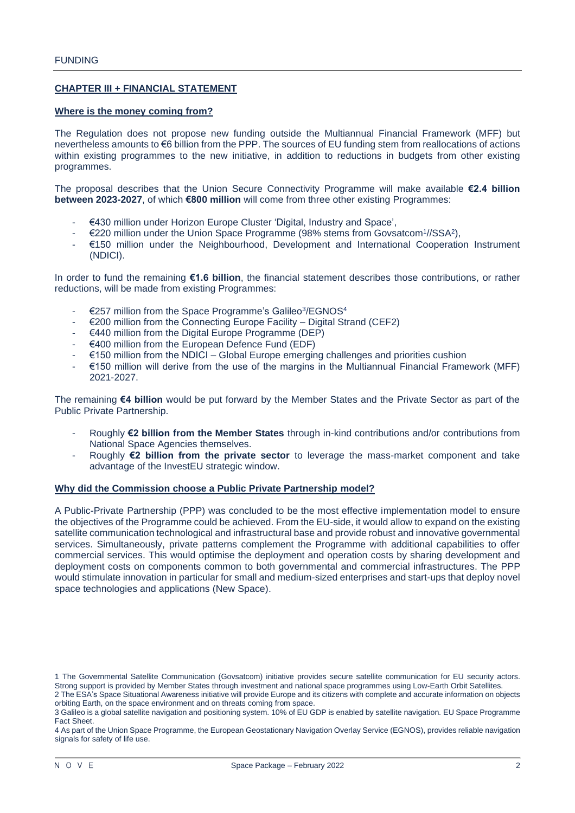# **CHAPTER III + FINANCIAL STATEMENT**

#### **Where is the money coming from?**

The Regulation does not propose new funding outside the Multiannual Financial Framework (MFF) but nevertheless amounts to €6 billion from the PPP. The sources of EU funding stem from reallocations of actions within existing programmes to the new initiative, in addition to reductions in budgets from other existing programmes.

The proposal describes that the Union Secure Connectivity Programme will make available **€2.4 billion between 2023-2027**, of which **€800 million** will come from three other existing Programmes:

- €430 million under Horizon Europe Cluster 'Digital, Industry and Space',
- $€220$  million under the Union Space Programme (98% stems from Govsatcom $1/\sqrt{SSA^2}$ ),
- €150 million under the Neighbourhood, Development and International Cooperation Instrument (NDICI).

In order to fund the remaining **€1.6 billion**, the financial statement describes those contributions, or rather reductions, will be made from existing Programmes:

- €257 million from the Space Programme's Galileo<sup>3</sup> /EGNOS<sup>4</sup>
- $\epsilon$  200 million from the Connecting Europe Facility Digital Strand (CEF2)
- €440 million from the Digital Europe Programme (DEP)
- €400 million from the European Defence Fund (EDF)
- €150 million from the NDICI Global Europe emerging challenges and priorities cushion
- €150 million will derive from the use of the margins in the Multiannual Financial Framework (MFF) 2021-2027.

The remaining **€4 billion** would be put forward by the Member States and the Private Sector as part of the Public Private Partnership.

- Roughly **€2 billion from the Member States** through in-kind contributions and/or contributions from National Space Agencies themselves.
- Roughly **€2 billion from the private sector** to leverage the mass-market component and take advantage of the InvestEU strategic window.

#### **Why did the Commission choose a Public Private Partnership model?**

A Public-Private Partnership (PPP) was concluded to be the most effective implementation model to ensure the objectives of the Programme could be achieved. From the EU-side, it would allow to expand on the existing satellite communication technological and infrastructural base and provide robust and innovative governmental services. Simultaneously, private patterns complement the Programme with additional capabilities to offer commercial services. This would optimise the deployment and operation costs by sharing development and deployment costs on components common to both governmental and commercial infrastructures. The PPP would stimulate innovation in particular for small and medium-sized enterprises and start-ups that deploy novel space technologies and applications (New Space).

<span id="page-1-0"></span><sup>1</sup> The Governmental Satellite Communication (Govsatcom) initiative provides secure satellite communication for EU security actors. Strong support is provided by Member States through investment and national space programmes using Low-Earth Orbit Satellites.

<sup>2</sup> The ESA's Space Situational Awareness initiative will provide Europe and its citizens with complete and accurate information on objects orbiting Earth, on the space environment and on threats coming from space.

<sup>3</sup> Galileo is a global satellite navigation and positioning system. 10% of EU GDP is enabled by satellite navigation[. EU Space Programme](https://ec.europa.eu/defence-industry-space/eu-space-programme-overview_fr)  [Fact Sheet.](https://ec.europa.eu/defence-industry-space/eu-space-programme-overview_fr)

<sup>4</sup> As part of the Union Space Programme, the European Geostationary Navigation Overlay Service (EGNOS), provides reliable navigation signals for safety of life use.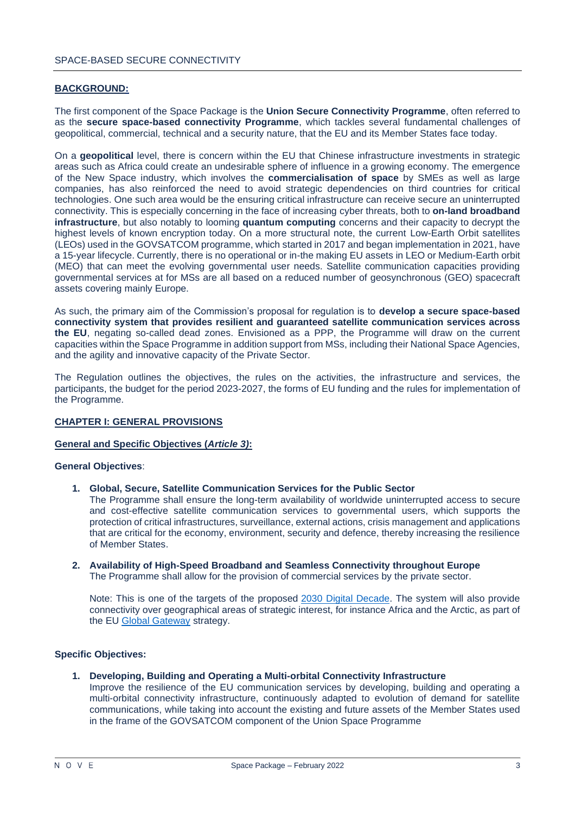## **BACKGROUND:**

The first component of the Space Package is the **Union Secure Connectivity Programme**, often referred to as the **secure space-based connectivity Programme**, which tackles several fundamental challenges of geopolitical, commercial, technical and a security nature, that the EU and its Member States face today.

On a **geopolitical** level, there is concern within the EU that Chinese infrastructure investments in strategic areas such as Africa could create an undesirable sphere of influence in a growing economy. The emergence of the New Space industry, which involves the **commercialisation of space** by SMEs as well as large companies, has also reinforced the need to avoid strategic dependencies on third countries for critical technologies. One such area would be the ensuring critical infrastructure can receive secure an uninterrupted connectivity. This is especially concerning in the face of increasing cyber threats, both to **on-land broadband infrastructure**, but also notably to looming **quantum computing** concerns and their capacity to decrypt the highest levels of known encryption today. On a more structural note, the current Low-Earth Orbit satellites (LEOs) used in the GOVSATCOM programme, which started in 2017 and began implementation in 2021, have a 15-year lifecycle. Currently, there is no operational or in-the making EU assets in LEO or Medium-Earth orbit (MEO) that can meet the evolving governmental user needs. Satellite communication capacities providing governmental services at for MSs are all based on a reduced number of geosynchronous (GEO) spacecraft assets covering mainly Europe.

As such, the primary aim of the Commission's proposal for regulation is to **develop a secure space-based connectivity system that provides resilient and guaranteed satellite communication services across the EU**, negating so-called dead zones. Envisioned as a PPP, the Programme will draw on the current capacities within the Space Programme in addition support from MSs, including their National Space Agencies, and the agility and innovative capacity of the Private Sector.

The Regulation outlines the objectives, the rules on the activities, the infrastructure and services, the participants, the budget for the period 2023-2027, the forms of EU funding and the rules for implementation of the Programme.

## **CHAPTER I: GENERAL PROVISIONS**

## **General and Specific Objectives (***Article 3)***:**

#### **General Objectives**:

**1. Global, Secure, Satellite Communication Services for the Public Sector**

The Programme shall ensure the long-term availability of worldwide uninterrupted access to secure and cost-effective satellite communication services to governmental users, which supports the protection of critical infrastructures, surveillance, external actions, crisis management and applications that are critical for the economy, environment, security and defence, thereby increasing the resilience of Member States.

**2. Availability of High-Speed Broadband and Seamless Connectivity throughout Europe** The Programme shall allow for the provision of commercial services by the private sector.

Note: This is one of the targets of the proposed [2030 Digital Decade.](https://ec.europa.eu/commission/presscorner/detail/en/IP_21_983) The system will also provide connectivity over geographical areas of strategic interest, for instance Africa and the Arctic, as part of the EU [Global Gateway](https://ec.europa.eu/info/strategy/priorities-2019-2024/stronger-europe-world/global-gateway_en) strategy.

# **Specific Objectives:**

**1. Developing, Building and Operating a Multi-orbital Connectivity Infrastructure**

Improve the resilience of the EU communication services by developing, building and operating a multi-orbital connectivity infrastructure, continuously adapted to evolution of demand for satellite communications, while taking into account the existing and future assets of the Member States used in the frame of the GOVSATCOM component of the Union Space Programme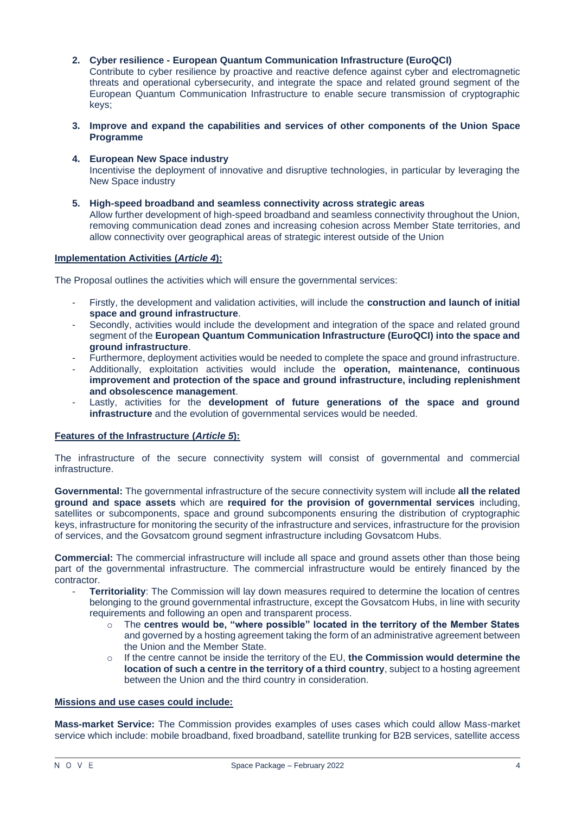# **2. Cyber resilience - European Quantum Communication Infrastructure (EuroQCI)**

Contribute to cyber resilience by proactive and reactive defence against cyber and electromagnetic threats and operational cybersecurity, and integrate the space and related ground segment of the European Quantum Communication Infrastructure to enable secure transmission of cryptographic keys;

- **3. Improve and expand the capabilities and services of other components of the Union Space Programme**
- **4. European New Space industry**

Incentivise the deployment of innovative and disruptive technologies, in particular by leveraging the New Space industry

**5. High-speed broadband and seamless connectivity across strategic areas** Allow further development of high-speed broadband and seamless connectivity throughout the Union, removing communication dead zones and increasing cohesion across Member State territories, and allow connectivity over geographical areas of strategic interest outside of the Union

## **Implementation Activities (***Article 4***):**

The Proposal outlines the activities which will ensure the governmental services:

- Firstly, the development and validation activities, will include the **construction and launch of initial space and ground infrastructure**.
- Secondly, activities would include the development and integration of the space and related ground segment of the **European Quantum Communication Infrastructure (EuroQCI) into the space and ground infrastructure**.
- Furthermore, deployment activities would be needed to complete the space and ground infrastructure.
- Additionally, exploitation activities would include the **operation, maintenance, continuous improvement and protection of the space and ground infrastructure, including replenishment and obsolescence management**.
- Lastly, activities for the development of future generations of the space and ground **infrastructure** and the evolution of governmental services would be needed.

# **Features of the Infrastructure (***Article 5***):**

The infrastructure of the secure connectivity system will consist of governmental and commercial infrastructure.

**Governmental:** The governmental infrastructure of the secure connectivity system will include **all the related ground and space assets** which are **required for the provision of governmental services** including, satellites or subcomponents, space and ground subcomponents ensuring the distribution of cryptographic keys, infrastructure for monitoring the security of the infrastructure and services, infrastructure for the provision of services, and the Govsatcom ground segment infrastructure including Govsatcom Hubs.

**Commercial:** The commercial infrastructure will include all space and ground assets other than those being part of the governmental infrastructure. The commercial infrastructure would be entirely financed by the contractor.

- **Territoriality**: The Commission will lay down measures required to determine the location of centres belonging to the ground governmental infrastructure, except the Govsatcom Hubs, in line with security requirements and following an open and transparent process.
	- o The **centres would be, "where possible" located in the territory of the Member States** and governed by a hosting agreement taking the form of an administrative agreement between the Union and the Member State.
	- o If the centre cannot be inside the territory of the EU, **the Commission would determine the location of such a centre in the territory of a third country**, subject to a hosting agreement between the Union and the third country in consideration.

# **Missions and use cases could include:**

**Mass-market Service:** The Commission provides examples of uses cases which could allow Mass-market service which include: mobile broadband, fixed broadband, satellite trunking for B2B services, satellite access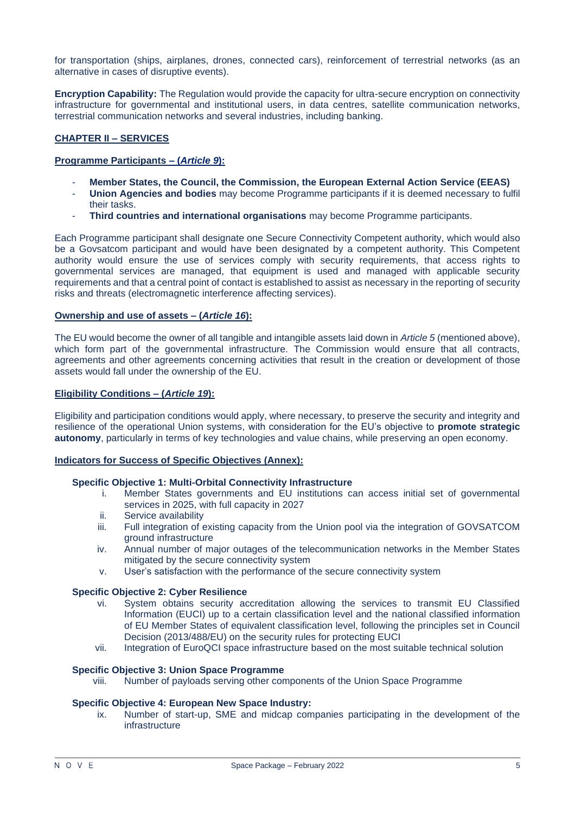for transportation (ships, airplanes, drones, connected cars), reinforcement of terrestrial networks (as an alternative in cases of disruptive events).

**Encryption Capability:** The Regulation would provide the capacity for ultra-secure encryption on connectivity infrastructure for governmental and institutional users, in data centres, satellite communication networks, terrestrial communication networks and several industries, including banking.

# **CHAPTER II – SERVICES**

## **Programme Participants – (***Article 9***):**

- **Member States, the Council, the Commission, the European External Action Service (EEAS)**
- **Union Agencies and bodies** may become Programme participants if it is deemed necessary to fulfil their tasks.
- **Third countries and international organisations** may become Programme participants.

Each Programme participant shall designate one Secure Connectivity Competent authority, which would also be a Govsatcom participant and would have been designated by a competent authority. This Competent authority would ensure the use of services comply with security requirements, that access rights to governmental services are managed, that equipment is used and managed with applicable security requirements and that a central point of contact is established to assist as necessary in the reporting of security risks and threats (electromagnetic interference affecting services).

#### **Ownership and use of assets – (***Article 16***):**

The EU would become the owner of all tangible and intangible assets laid down in *Article 5* (mentioned above), which form part of the governmental infrastructure. The Commission would ensure that all contracts, agreements and other agreements concerning activities that result in the creation or development of those assets would fall under the ownership of the EU.

## **Eligibility Conditions – (***Article 19***):**

Eligibility and participation conditions would apply, where necessary, to preserve the security and integrity and resilience of the operational Union systems, with consideration for the EU's objective to **promote strategic autonomy**, particularly in terms of key technologies and value chains, while preserving an open economy.

# **Indicators for Success of Specific Objectives (Annex):**

#### **Specific Objective 1: Multi-Orbital Connectivity Infrastructure**

- i. Member States governments and EU institutions can access initial set of governmental services in 2025, with full capacity in 2027
- ii. Service availability
- iii. Full integration of existing capacity from the Union pool via the integration of GOVSATCOM ground infrastructure
- iv. Annual number of major outages of the telecommunication networks in the Member States mitigated by the secure connectivity system
- v. User's satisfaction with the performance of the secure connectivity system

#### **Specific Objective 2: Cyber Resilience**

- vi. System obtains security accreditation allowing the services to transmit EU Classified Information (EUCI) up to a certain classification level and the national classified information of EU Member States of equivalent classification level, following the principles set in Council Decision (2013/488/EU) on the security rules for protecting EUCI
- vii. Integration of EuroQCI space infrastructure based on the most suitable technical solution

#### **Specific Objective 3: Union Space Programme**

viii. Number of payloads serving other components of the Union Space Programme

## **Specific Objective 4: European New Space Industry:**

ix. Number of start-up, SME and midcap companies participating in the development of the infrastructure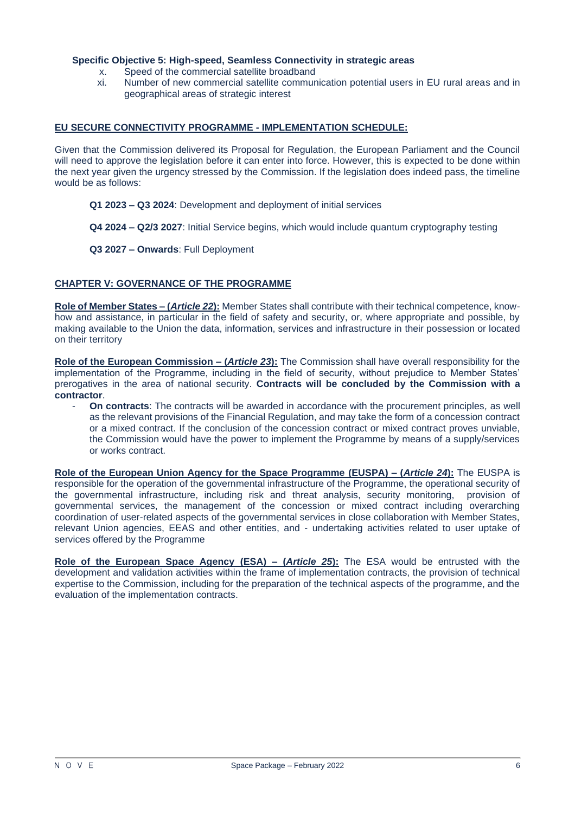# **Specific Objective 5: High-speed, Seamless Connectivity in strategic areas**

- x. Speed of the commercial satellite broadband<br>xi. Number of new commercial satellite commun
- Number of new commercial satellite communication potential users in EU rural areas and in geographical areas of strategic interest

# **EU SECURE CONNECTIVITY PROGRAMME - IMPLEMENTATION SCHEDULE:**

Given that the Commission delivered its Proposal for Regulation, the European Parliament and the Council will need to approve the legislation before it can enter into force. However, this is expected to be done within the next year given the urgency stressed by the Commission. If the legislation does indeed pass, the timeline would be as follows:

- **Q1 2023 – Q3 2024**: Development and deployment of initial services
- **Q4 2024 – Q2/3 2027**: Initial Service begins, which would include quantum cryptography testing
- **Q3 2027 – Onwards**: Full Deployment

## **CHAPTER V: GOVERNANCE OF THE PROGRAMME**

**Role of Member States – (***Article 22***):** Member States shall contribute with their technical competence, knowhow and assistance, in particular in the field of safety and security, or, where appropriate and possible, by making available to the Union the data, information, services and infrastructure in their possession or located on their territory

**Role of the European Commission – (***Article 23***):** The Commission shall have overall responsibility for the implementation of the Programme, including in the field of security, without prejudice to Member States' prerogatives in the area of national security. **Contracts will be concluded by the Commission with a contractor**.

- **On contracts**: The contracts will be awarded in accordance with the procurement principles*,* as well as the relevant provisions of the Financial Regulation, and may take the form of a concession contract or a mixed contract. If the conclusion of the concession contract or mixed contract proves unviable, the Commission would have the power to implement the Programme by means of a supply/services or works contract.

**Role of the European Union Agency for the Space Programme (EUSPA) – (***Article 24***):** The EUSPA is responsible for the operation of the governmental infrastructure of the Programme, the operational security of the governmental infrastructure, including risk and threat analysis, security monitoring, provision of governmental services, the management of the concession or mixed contract including overarching coordination of user-related aspects of the governmental services in close collaboration with Member States, relevant Union agencies, EEAS and other entities, and - undertaking activities related to user uptake of services offered by the Programme

<span id="page-5-0"></span>**Role of the European Space Agency (ESA) – (***Article 25***):** The ESA would be entrusted with the development and validation activities within the frame of implementation contracts, the provision of technical expertise to the Commission, including for the preparation of the technical aspects of the programme, and the evaluation of the implementation contracts.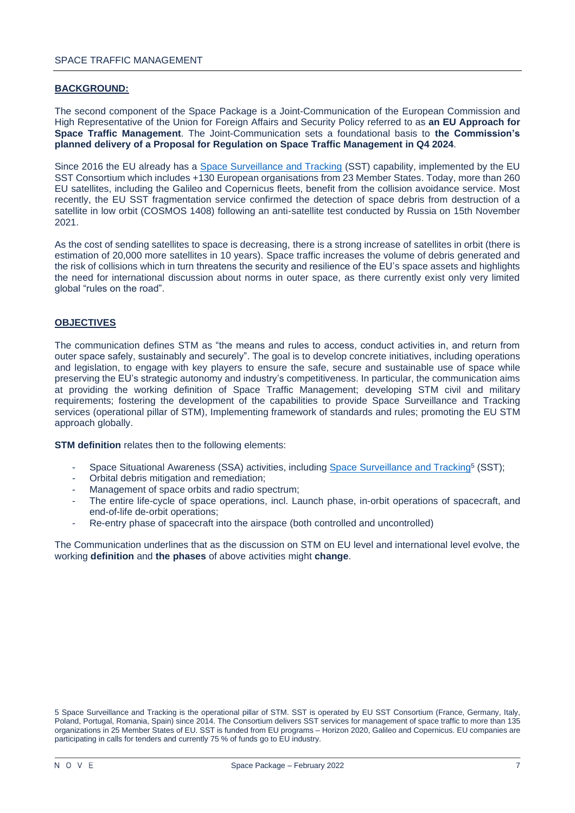## **BACKGROUND:**

The second component of the Space Package is a Joint-Communication of the European Commission and High Representative of the Union for Foreign Affairs and Security Policy referred to as **an EU Approach for Space Traffic Management**. The Joint-Communication sets a foundational basis to **the Commission's planned delivery of a Proposal for Regulation on Space Traffic Management in Q4 2024**.

Since 2016 the EU already has a [Space Surveillance and Tracking](https://www.eusst.eu/) (SST) capability, implemented by the EU SST Consortium which includes +130 European organisations from 23 Member States. Today, more than 260 EU satellites, including the Galileo and Copernicus fleets, benefit from the collision avoidance service. Most recently, the EU SST fragmentation service confirmed the detection of space debris from destruction of a satellite in low orbit (COSMOS 1408) following an anti-satellite test conducted by Russia on 15th November 2021.

As the cost of sending satellites to space is decreasing, there is a strong increase of satellites in orbit (there is estimation of 20,000 more satellites in 10 years). Space traffic increases the volume of debris generated and the risk of collisions which in turn threatens the security and resilience of the EU's space assets and highlights the need for international discussion about norms in outer space, as there currently exist only very limited global "rules on the road".

## **OBJECTIVES**

The communication defines STM as "the means and rules to access, conduct activities in, and return from outer space safely, sustainably and securely". The goal is to develop concrete initiatives, including operations and legislation, to engage with key players to ensure the safe, secure and sustainable use of space while preserving the EU's strategic autonomy and industry's competitiveness. In particular, the communication aims at providing the working definition of Space Traffic Management; developing STM civil and military requirements; fostering the development of the capabilities to provide Space Surveillance and Tracking services (operational pillar of STM), Implementing framework of standards and rules; promoting the EU STM approach globally.

**STM definition** relates then to the following elements:

- Space Situational Awareness (SSA) activities, including [Space Surveillance and Tracking](https://www.eusst.eu/)<sup>5</sup> (SST);
- Orbital debris mitigation and remediation;
- Management of space orbits and radio spectrum;
- The entire life-cycle of space operations, incl. Launch phase, in-orbit operations of spacecraft, and end-of-life de-orbit operations;
- Re-entry phase of spacecraft into the airspace (both controlled and uncontrolled)

The Communication underlines that as the discussion on STM on EU level and international level evolve, the working **definition** and **the phases** of above activities might **change**.

<sup>5</sup> Space Surveillance and Tracking is the operational pillar of STM. SST is operated by EU SST Consortium (France, Germany, Italy, Poland, Portugal, Romania, Spain) since 2014. The Consortium delivers SST services for management of space traffic to more than 135 organizations in 25 Member States of EU. SST is funded from EU programs – Horizon 2020, Galileo and Copernicus. EU companies are participating in calls for tenders and currently 75 % of funds go to EU industry.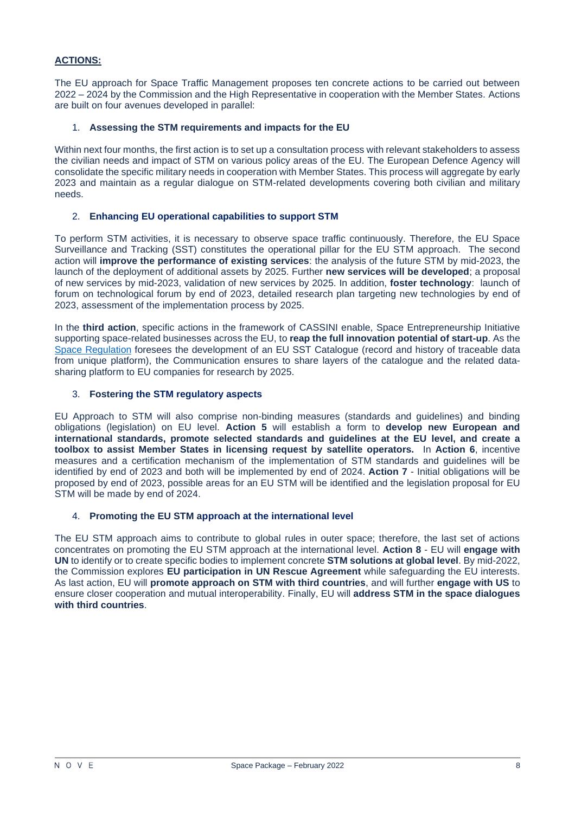# **ACTIONS:**

The EU approach for Space Traffic Management proposes ten concrete actions to be carried out between 2022 – 2024 by the Commission and the High Representative in cooperation with the Member States. Actions are built on four avenues developed in parallel:

## 1. **Assessing the STM requirements and impacts for the EU**

Within next four months, the first action is to set up a consultation process with relevant stakeholders to assess the civilian needs and impact of STM on various policy areas of the EU. The European Defence Agency will consolidate the specific military needs in cooperation with Member States. This process will aggregate by early 2023 and maintain as a regular dialogue on STM-related developments covering both civilian and military needs.

## 2. **Enhancing EU operational capabilities to support STM**

To perform STM activities, it is necessary to observe space traffic continuously. Therefore, the EU Space Surveillance and Tracking (SST) constitutes the operational pillar for the EU STM approach. The second action will **improve the performance of existing services**: the analysis of the future STM by mid-2023, the launch of the deployment of additional assets by 2025. Further **new services will be developed**; a proposal of new services by mid-2023, validation of new services by 2025. In addition, **foster technology**: launch of forum on technological forum by end of 2023, detailed research plan targeting new technologies by end of 2023, assessment of the implementation process by 2025.

In the **third action**, specific actions in the framework of CASSINI enable, Space Entrepreneurship Initiative supporting space-related businesses across the EU, to **reap the full innovation potential of start-up**. As the [Space Regulation](https://eur-lex.europa.eu/legal-content/EN/TXT/PDF/?uri=CELEX:32021R0696&from=EN) foresees the development of an EU SST Catalogue (record and history of traceable data from unique platform), the Communication ensures to share layers of the catalogue and the related datasharing platform to EU companies for research by 2025.

## 3. **Fostering the STM regulatory aspects**

EU Approach to STM will also comprise non-binding measures (standards and guidelines) and binding obligations (legislation) on EU level. **Action 5** will establish a form to **develop new European and international standards, promote selected standards and guidelines at the EU level, and create a toolbox to assist Member States in licensing request by satellite operators.** In **Action 6**, incentive measures and a certification mechanism of the implementation of STM standards and guidelines will be identified by end of 2023 and both will be implemented by end of 2024. **Action 7** - Initial obligations will be proposed by end of 2023, possible areas for an EU STM will be identified and the legislation proposal for EU STM will be made by end of 2024.

#### 4. **Promoting the EU STM approach at the international level**

<span id="page-7-0"></span>The EU STM approach aims to contribute to global rules in outer space; therefore, the last set of actions concentrates on promoting the EU STM approach at the international level. **Action 8** - EU will **engage with UN** to identify or to create specific bodies to implement concrete **STM solutions at global level**. By mid-2022, the Commission explores **EU participation in UN Rescue Agreement** while safeguarding the EU interests. As last action, EU will **promote approach on STM with third countries**, and will further **engage with US** to ensure closer cooperation and mutual interoperability. Finally, EU will **address STM in the space dialogues with third countries**.